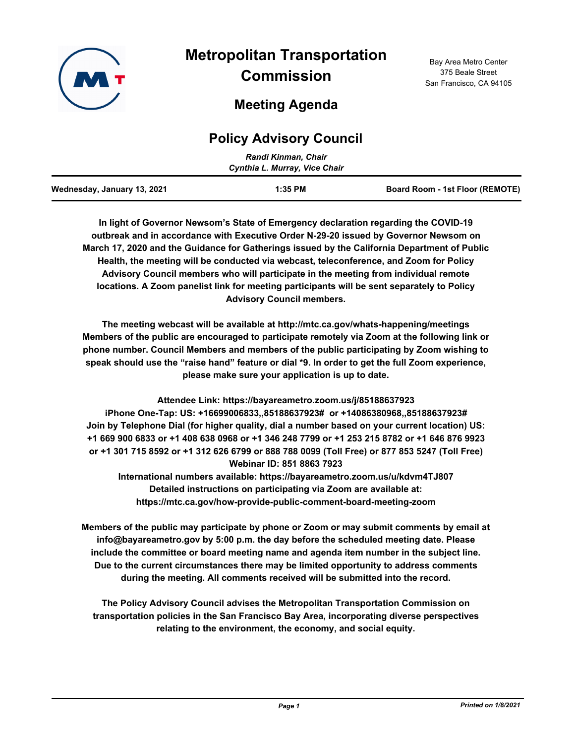

# **Metropolitan Transportation Commission**

## **Meeting Agenda**

### **Policy Advisory Council**

|                             | Randi Kinman, Chair<br>Cynthia L. Murray, Vice Chair |                                 |
|-----------------------------|------------------------------------------------------|---------------------------------|
| Wednesday, January 13, 2021 | $1:35$ PM                                            | Board Room - 1st Floor (REMOTE) |

**In light of Governor Newsom's State of Emergency declaration regarding the COVID-19 outbreak and in accordance with Executive Order N-29-20 issued by Governor Newsom on March 17, 2020 and the Guidance for Gatherings issued by the California Department of Public Health, the meeting will be conducted via webcast, teleconference, and Zoom for Policy Advisory Council members who will participate in the meeting from individual remote locations. A Zoom panelist link for meeting participants will be sent separately to Policy Advisory Council members.**

**The meeting webcast will be available at http://mtc.ca.gov/whats-happening/meetings Members of the public are encouraged to participate remotely via Zoom at the following link or phone number. Council Members and members of the public participating by Zoom wishing to speak should use the "raise hand" feature or dial \*9. In order to get the full Zoom experience, please make sure your application is up to date.**

**Attendee Link: https://bayareametro.zoom.us/j/85188637923 iPhone One-Tap: US: +16699006833,,85188637923# or +14086380968,,85188637923# Join by Telephone Dial (for higher quality, dial a number based on your current location) US: +1 669 900 6833 or +1 408 638 0968 or +1 346 248 7799 or +1 253 215 8782 or +1 646 876 9923 or +1 301 715 8592 or +1 312 626 6799 or 888 788 0099 (Toll Free) or 877 853 5247 (Toll Free) Webinar ID: 851 8863 7923**

**International numbers available: https://bayareametro.zoom.us/u/kdvm4TJ807 Detailed instructions on participating via Zoom are available at: https://mtc.ca.gov/how-provide-public-comment-board-meeting-zoom**

**Members of the public may participate by phone or Zoom or may submit comments by email at info@bayareametro.gov by 5:00 p.m. the day before the scheduled meeting date. Please include the committee or board meeting name and agenda item number in the subject line. Due to the current circumstances there may be limited opportunity to address comments during the meeting. All comments received will be submitted into the record.**

**The Policy Advisory Council advises the Metropolitan Transportation Commission on transportation policies in the San Francisco Bay Area, incorporating diverse perspectives relating to the environment, the economy, and social equity.**

Bay Area Metro Center 375 Beale Street San Francisco, CA 94105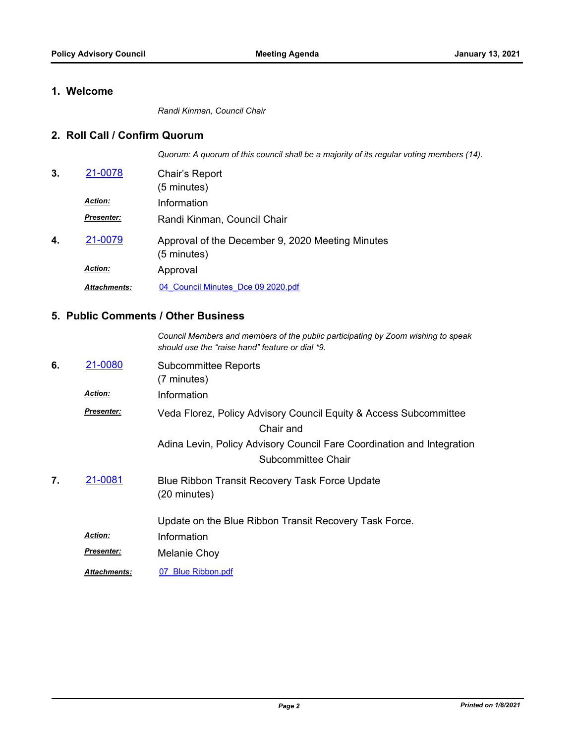#### **1. Welcome**

*Randi Kinman, Council Chair*

#### **2. Roll Call / Confirm Quorum**

*Quorum: A quorum of this council shall be a majority of its regular voting members (14).*

| 3. | 21-0078             | Chair's Report<br>(5 minutes)                                   |
|----|---------------------|-----------------------------------------------------------------|
|    | <b>Action:</b>      | Information                                                     |
|    | <b>Presenter:</b>   | Randi Kinman, Council Chair                                     |
| 4. | 21-0079             | Approval of the December 9, 2020 Meeting Minutes<br>(5 minutes) |
|    | <b>Action:</b>      | Approval                                                        |
|    | <b>Attachments:</b> | 04 Council Minutes Dce 09 2020.pdf                              |

#### **5. Public Comments / Other Business**

|    |                     | Council Members and members of the public participating by Zoom wishing to speak<br>should use the "raise hand" feature or dial *9. |
|----|---------------------|-------------------------------------------------------------------------------------------------------------------------------------|
| 6. | 21-0080             | <b>Subcommittee Reports</b><br>(7 minutes)                                                                                          |
|    | <b>Action:</b>      | Information                                                                                                                         |
|    | <b>Presenter:</b>   | Veda Florez, Policy Advisory Council Equity & Access Subcommittee<br>Chair and                                                      |
|    |                     | Adina Levin, Policy Advisory Council Fare Coordination and Integration<br>Subcommittee Chair                                        |
| 7. | 21-0081             | Blue Ribbon Transit Recovery Task Force Update<br>(20 minutes)                                                                      |
|    |                     | Update on the Blue Ribbon Transit Recovery Task Force.                                                                              |
|    | <b>Action:</b>      | Information                                                                                                                         |
|    | <b>Presenter:</b>   | Melanie Choy                                                                                                                        |
|    | <b>Attachments:</b> | 07 Blue Ribbon.pdf                                                                                                                  |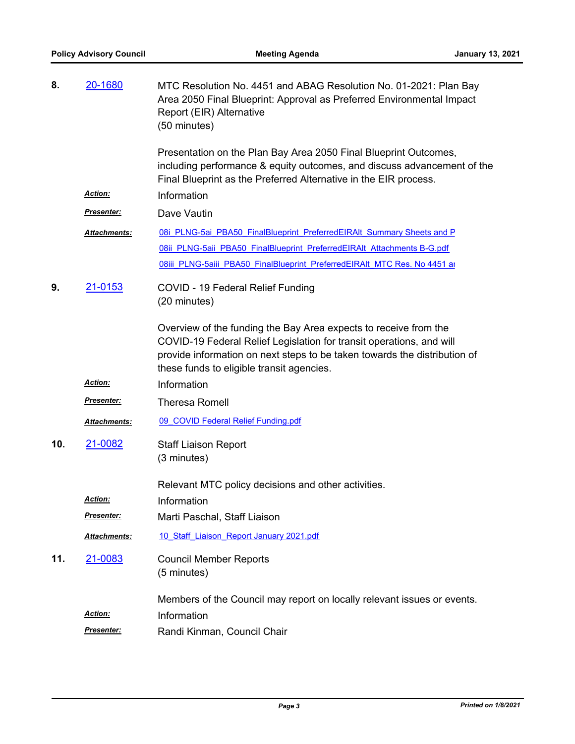| 8.  | 20-1680            | MTC Resolution No. 4451 and ABAG Resolution No. 01-2021: Plan Bay<br>Area 2050 Final Blueprint: Approval as Preferred Environmental Impact<br>Report (EIR) Alternative<br>(50 minutes)                                                                             |
|-----|--------------------|--------------------------------------------------------------------------------------------------------------------------------------------------------------------------------------------------------------------------------------------------------------------|
|     |                    | Presentation on the Plan Bay Area 2050 Final Blueprint Outcomes,<br>including performance & equity outcomes, and discuss advancement of the<br>Final Blueprint as the Preferred Alternative in the EIR process.                                                    |
|     | Action:            | Information                                                                                                                                                                                                                                                        |
|     | <u>Presenter:</u>  | Dave Vautin                                                                                                                                                                                                                                                        |
|     | Attachments:       | 08i PLNG-5ai PBA50 FinalBlueprint PreferredEIRAIt Summary Sheets and P                                                                                                                                                                                             |
|     |                    | 08ii PLNG-5aii PBA50 FinalBlueprint PreferredEIRAIt Attachments B-G.pdf                                                                                                                                                                                            |
|     |                    | 08iii PLNG-5aiii PBA50 FinalBlueprint PreferredEIRAIt MTC Res. No 4451 at                                                                                                                                                                                          |
| 9.  | 21-0153            | COVID - 19 Federal Relief Funding<br>(20 minutes)                                                                                                                                                                                                                  |
|     |                    | Overview of the funding the Bay Area expects to receive from the<br>COVID-19 Federal Relief Legislation for transit operations, and will<br>provide information on next steps to be taken towards the distribution of<br>these funds to eligible transit agencies. |
|     | Action:            | Information                                                                                                                                                                                                                                                        |
|     | <u>Presenter:</u>  | <b>Theresa Romell</b>                                                                                                                                                                                                                                              |
|     | Attachments:       | 09 COVID Federal Relief Funding.pdf                                                                                                                                                                                                                                |
| 10. | 21-0082            | <b>Staff Liaison Report</b><br>(3 minutes)                                                                                                                                                                                                                         |
|     |                    | Relevant MTC policy decisions and other activities.                                                                                                                                                                                                                |
|     | Action:            | Information                                                                                                                                                                                                                                                        |
|     | <u>Presenter:</u>  | Marti Paschal, Staff Liaison                                                                                                                                                                                                                                       |
|     | Attachments:       | 10 Staff Liaison Report January 2021.pdf                                                                                                                                                                                                                           |
| 11. | 21-0083            | <b>Council Member Reports</b><br>(5 minutes)                                                                                                                                                                                                                       |
|     |                    | Members of the Council may report on locally relevant issues or events.                                                                                                                                                                                            |
|     | <u>Action:</u>     | Information                                                                                                                                                                                                                                                        |
|     | <u> Presenter:</u> | Randi Kinman, Council Chair                                                                                                                                                                                                                                        |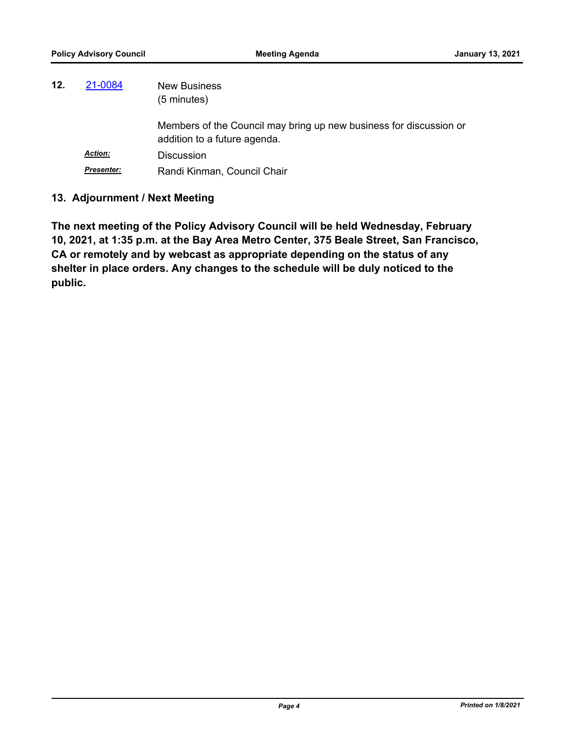| 12. | 21-0084           | <b>New Business</b><br>$(5 \text{ minutes})$                                                       |
|-----|-------------------|----------------------------------------------------------------------------------------------------|
|     |                   | Members of the Council may bring up new business for discussion or<br>addition to a future agenda. |
|     | <b>Action:</b>    | <b>Discussion</b>                                                                                  |
|     | <b>Presenter:</b> | Randi Kinman, Council Chair                                                                        |

#### **13. Adjournment / Next Meeting**

**The next meeting of the Policy Advisory Council will be held Wednesday, February 10, 2021, at 1:35 p.m. at the Bay Area Metro Center, 375 Beale Street, San Francisco, CA or remotely and by webcast as appropriate depending on the status of any shelter in place orders. Any changes to the schedule will be duly noticed to the public.**